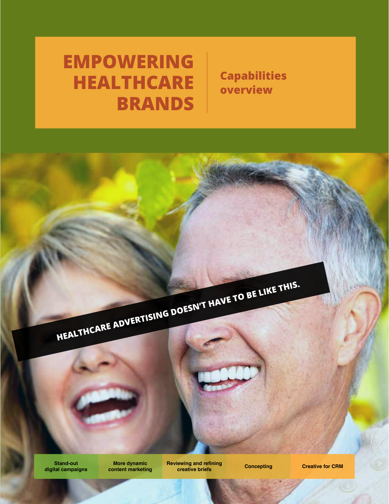# **EMPOWERING HEALTHCARE BRANDS**

**Capabilities overview**

**HEALTHCARE ADVERTISING DOESN'T HAVE TO BE LIKE THIS.** 

**Stand-out digital campaigns**

**More dynamic content marketing** **Reviewing and refining rewing and reining Concepting Creative for CRM**<br>**Creative briefs** Concepting Creative for CRM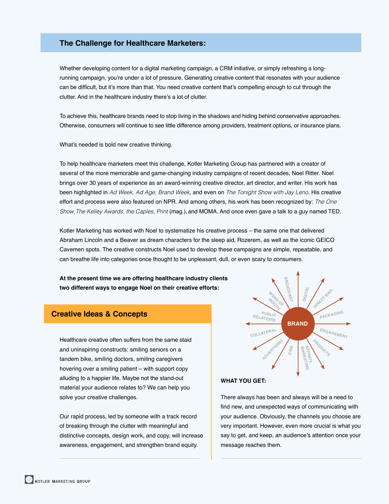## **The Challenge for Healthcare Marketers:**

Whether developing content for a digital marketing campaign, a CRM initiative, or simply refreshing a longrunning campaign, you're under a lot of pressure. Generating creative content that resonates with your audience can be difficult, but it's more than that. You need creative content that's compelling enough to cut through the clutter. And in the healthcare industry there's a lot of clutter.

To achieve this, healthcare brands need to stop living in the shadows and hiding behind conservative approaches. Otherwise, consumers will continue to see little difference among providers, treatment options, or insurance plans.

What's needed is bold new creative thinking.

To help healthcare marketers meet this challenge, Kotler Marketing Group has partnered with a creator of several of the more memorable and game-changing industry campaigns of recent decades, Noel Ritter. Noel brings over 30 years of experience as an award-winning creative director, art director, and writer. His work has been highlighted in *Ad Week, Ad Age, Brand Week*, and even on *The Tonight Show with Jay Leno*. His creative effort and process were also featured on NPR. And among others, his work has been recognized by: *The One Show, The Kelley Awards, the Caples, Print* (mag.), and MOMA. And once even gave a talk to a guy named TED.

Kotler Marketing has worked with Noel to systematize his creative process – the same one that delivered Abraham Lincoln and a Beaver as dream characters for the sleep aid, Rozerem, as well as the iconic GEICO Cavemen spots. The creative constructs Noel used to develop these campaigns are simple, repeatable, and can breathe life into categories once thought to be unpleasant, dull, or even scary to consumers.

**At the present time we are offering healthcare industry clients two different ways to engage Noel on their creative efforts:**

# **Creative Ideas & Concepts**

Healthcare creative often suffers from the same staid and uninspiring constructs: smiling seniors on a tandem bike, smiling doctors, smiling caregivers hovering over a smiling patient – with support copy alluding to a happier life. Maybe not the stand-out material your audience relates to? We can help you solve your creative challenges.

Our rapid process, led by someone with a track record of breaking through the clutter with meaningful and distinctive concepts, design work, and copy, will increase awareness, engagement, and strengthen brand equity.



#### **WHAT YOU GET:**

There always has been and always will be a need to find new, and unexpected ways of communicating with your audience. Obviously, the channels you choose are very important. However, even more crucial is what you say to get, and keep, an audience's attention once your message reaches them.